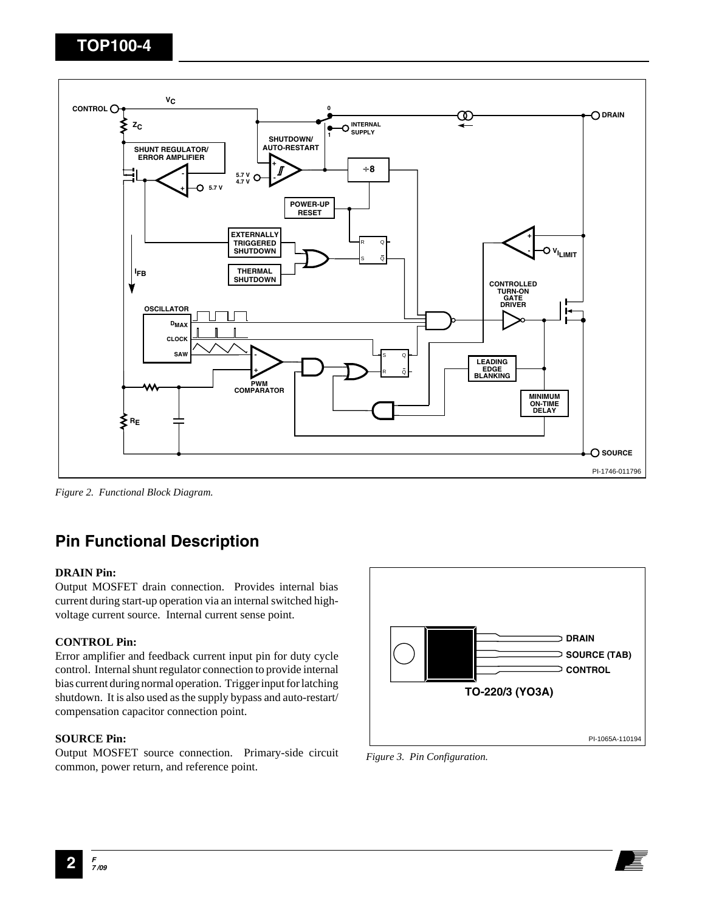

*Figure 2. Functional Block Diagram.*

# **Pin Functional Description**

### **DRAIN Pin:**

Output MOSFET drain connection. Provides internal bias current during start-up operation via an internal switched highvoltage current source. Internal current sense point.

### **CONTROL Pin:**

Error amplifier and feedback current input pin for duty cycle control. Internal shunt regulator connection to provide internal bias current during normal operation. Trigger input for latching shutdown. It is also used as the supply bypass and auto-restart/ compensation capacitor connection point.

### **SOURCE Pin:**

Output MOSFET source connection. Primary-side circuit common, power return, and reference point.



*Figure 3. Pin Configuration.*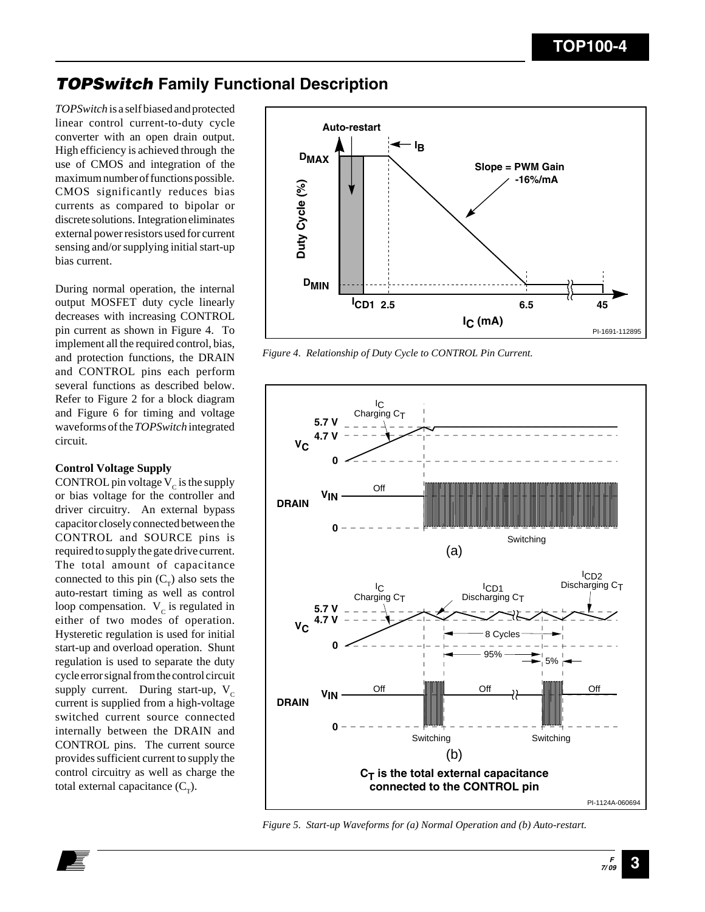### **TOPSwitch Family Functional Description**

*TOPSwitch* is a self biased and protected linear control current-to-duty cycle converter with an open drain output. High efficiency is achieved through the use of CMOS and integration of the maximum number of functions possible. CMOS significantly reduces bias currents as compared to bipolar or discrete solutions. Integration eliminates external power resistors used for current sensing and/or supplying initial start-up bias current.

During normal operation, the internal output MOSFET duty cycle linearly decreases with increasing CONTROL pin current as shown in Figure 4. To implement all the required control, bias, and protection functions, the DRAIN and CONTROL pins each perform several functions as described below. Refer to Figure 2 for a block diagram and Figure 6 for timing and voltage waveforms of the *TOPSwitch* integrated circuit.

### **Control Voltage Supply**

CONTROL pin voltage  $V_c$  is the supply or bias voltage for the controller and driver circuitry. An external bypass capacitor closely connected between the CONTROL and SOURCE pins is required to supply the gate drive current. The total amount of capacitance connected to this pin  $(C_T)$  also sets the auto-restart timing as well as control loop compensation.  $V_c$  is regulated in either of two modes of operation. Hysteretic regulation is used for initial start-up and overload operation. Shunt regulation is used to separate the duty cycle error signal from the control circuit supply current. During start-up,  $V_c$ current is supplied from a high-voltage switched current source connected internally between the DRAIN and CONTROL pins. The current source provides sufficient current to supply the control circuitry as well as charge the total external capacitance  $(C<sub>r</sub>)$ .



*Figure 4. Relationship of Duty Cycle to CONTROL Pin Current.*



*Figure 5. Start-up Waveforms for (a) Normal Operation and (b) Auto-restart.*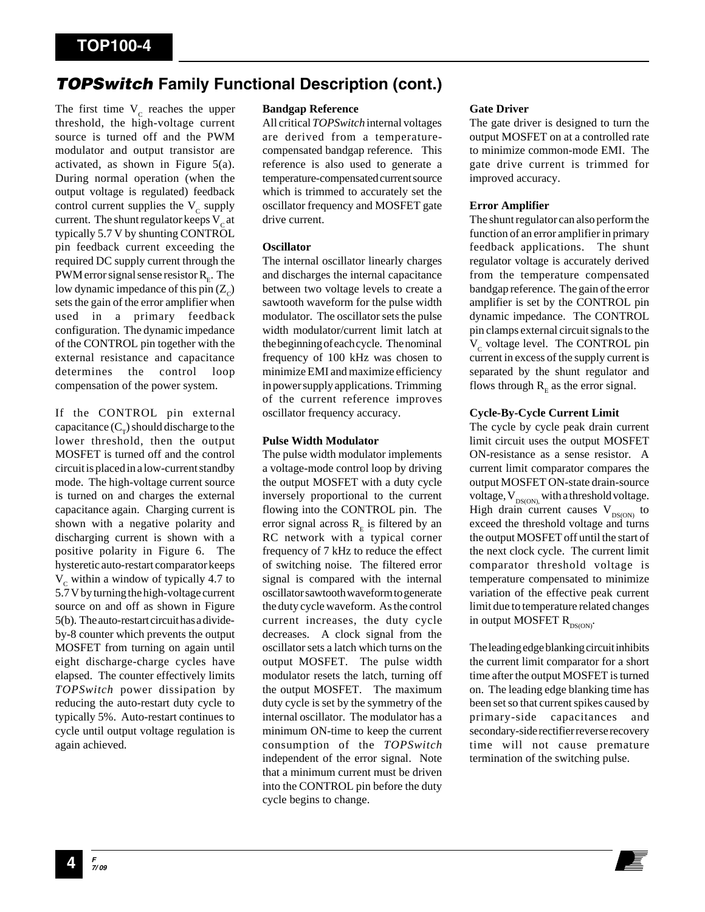### **TOPSwitch Family Functional Description (cont.)**

The first time  $V_c$  reaches the upper threshold, the high-voltage current source is turned off and the PWM modulator and output transistor are activated, as shown in Figure 5(a). During normal operation (when the output voltage is regulated) feedback control current supplies the  $V_c$  supply current. The shunt regulator keeps  $V<sub>c</sub>$  at typically 5.7 V by shunting CONTROL pin feedback current exceeding the required DC supply current through the PWM error signal sense resistor  $R<sub>r</sub>$ . The low dynamic impedance of this pin  $(Z_c)$ sets the gain of the error amplifier when used in a primary feedback configuration. The dynamic impedance of the CONTROL pin together with the external resistance and capacitance determines the control loop compensation of the power system.

If the CONTROL pin external capacitance  $(C_\tau)$  should discharge to the lower threshold, then the output MOSFET is turned off and the control circuit is placed in a low-current standby mode. The high-voltage current source is turned on and charges the external capacitance again. Charging current is shown with a negative polarity and discharging current is shown with a positive polarity in Figure 6. The hysteretic auto-restart comparator keeps  $V_c$  within a window of typically 4.7 to 5.7 V by turning the high-voltage current source on and off as shown in Figure 5(b). The auto-restart circuit has a divideby-8 counter which prevents the output MOSFET from turning on again until eight discharge-charge cycles have elapsed. The counter effectively limits *TOPSwitch* power dissipation by reducing the auto-restart duty cycle to typically 5%. Auto-restart continues to cycle until output voltage regulation is again achieved.

### **Bandgap Reference**

All critical *TOPSwitch* internal voltages are derived from a temperaturecompensated bandgap reference. This reference is also used to generate a temperature-compensated current source which is trimmed to accurately set the oscillator frequency and MOSFET gate drive current.

#### **Oscillator**

The internal oscillator linearly charges and discharges the internal capacitance between two voltage levels to create a sawtooth waveform for the pulse width modulator. The oscillator sets the pulse width modulator/current limit latch at the beginning of each cycle. The nominal frequency of 100 kHz was chosen to minimize EMI and maximize efficiency in power supply applications. Trimming of the current reference improves oscillator frequency accuracy.

### **Pulse Width Modulator**

The pulse width modulator implements a voltage-mode control loop by driving the output MOSFET with a duty cycle inversely proportional to the current flowing into the CONTROL pin. The error signal across  $R$ <sub>E</sub> is filtered by an RC network with a typical corner frequency of 7 kHz to reduce the effect of switching noise. The filtered error signal is compared with the internal oscillator sawtooth waveform to generate the duty cycle waveform. As the control current increases, the duty cycle decreases. A clock signal from the oscillator sets a latch which turns on the output MOSFET. The pulse width modulator resets the latch, turning off the output MOSFET. The maximum duty cycle is set by the symmetry of the internal oscillator. The modulator has a minimum ON-time to keep the current consumption of the *TOPSwitch* independent of the error signal. Note that a minimum current must be driven into the CONTROL pin before the duty cycle begins to change.

#### **Gate Driver**

The gate driver is designed to turn the output MOSFET on at a controlled rate to minimize common-mode EMI. The gate drive current is trimmed for improved accuracy.

### **Error Amplifier**

The shunt regulator can also perform the function of an error amplifier in primary feedback applications. The shunt regulator voltage is accurately derived from the temperature compensated bandgap reference. The gain of the error amplifier is set by the CONTROL pin dynamic impedance. The CONTROL pin clamps external circuit signals to the  $V_c$  voltage level. The CONTROL pin current in excess of the supply current is separated by the shunt regulator and flows through  $R<sub>F</sub>$  as the error signal.

### **Cycle-By-Cycle Current Limit**

The cycle by cycle peak drain current limit circuit uses the output MOSFET ON-resistance as a sense resistor. A current limit comparator compares the output MOSFET ON-state drain-source voltage,  $V_{DS(ON)}$  with a threshold voltage. High drain current causes  $V_{DS(ON)}$  to exceed the threshold voltage and turns the output MOSFET off until the start of the next clock cycle. The current limit comparator threshold voltage is temperature compensated to minimize variation of the effective peak current limit due to temperature related changes in output MOSFET  $R_{DS(ON)}$ .

The leading edge blanking circuit inhibits the current limit comparator for a short time after the output MOSFET is turned on. The leading edge blanking time has been set so that current spikes caused by primary-side capacitances and secondary-side rectifier reverse recovery time will not cause premature termination of the switching pulse.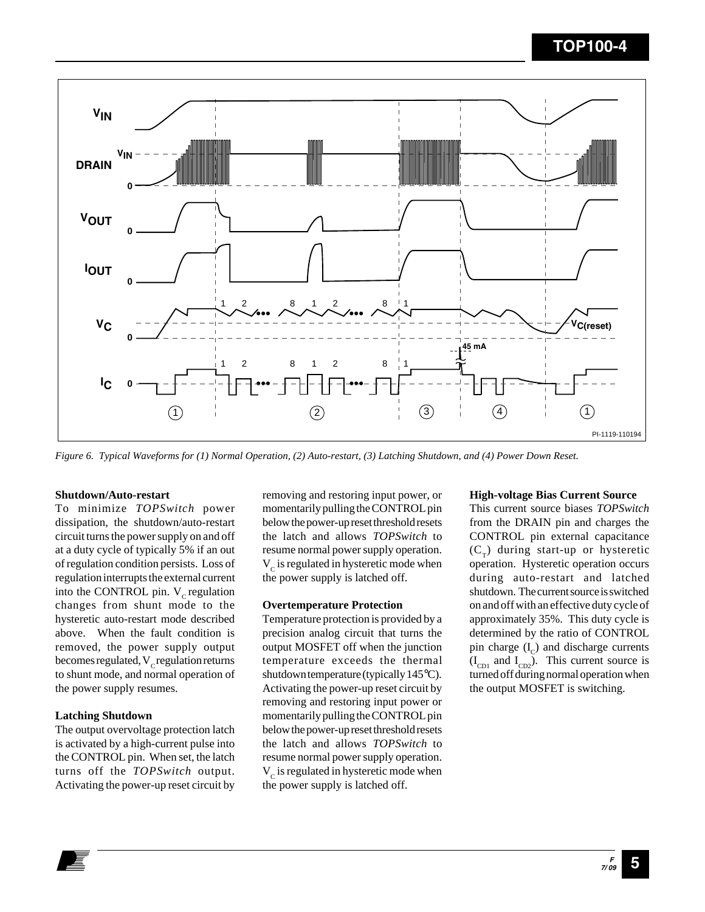

*Figure 6. Typical Waveforms for (1) Normal Operation, (2) Auto-restart, (3) Latching Shutdown, and (4) Power Down Reset.*

### **Shutdown/Auto-restart**

To minimize *TOPSwitch* power dissipation, the shutdown/auto-restart circuit turns the power supply on and off at a duty cycle of typically 5% if an out of regulation condition persists. Loss of regulation interrupts the external current into the CONTROL pin.  $V_c$  regulation changes from shunt mode to the hysteretic auto-restart mode described above. When the fault condition is removed, the power supply output becomes regulated,  $V_c$  regulation returns to shunt mode, and normal operation of the power supply resumes.

#### **Latching Shutdown**

The output overvoltage protection latch is activated by a high-current pulse into the CONTROL pin. When set, the latch turns off the *TOPSwitch* output. Activating the power-up reset circuit by

removing and restoring input power, or momentarily pulling the CONTROL pin below the power-up reset threshold resets the latch and allows *TOPSwitch* to resume normal power supply operation.  $V_c$  is regulated in hysteretic mode when the power supply is latched off.

### **Overtemperature Protection**

Temperature protection is provided by a precision analog circuit that turns the output MOSFET off when the junction temperature exceeds the thermal shutdown temperature (typically 145°C). Activating the power-up reset circuit by removing and restoring input power or momentarily pulling the CONTROL pin below the power-up reset threshold resets the latch and allows *TOPSwitch* to resume normal power supply operation.  $V_c$  is regulated in hysteretic mode when the power supply is latched off.

#### **High-voltage Bias Current Source**

This current source biases *TOPSwitch* from the DRAIN pin and charges the CONTROL pin external capacitance  $(C<sub>\tau</sub>)$  during start-up or hysteretic operation. Hysteretic operation occurs during auto-restart and latched shutdown. The current source is switched on and off with an effective duty cycle of approximately 35%. This duty cycle is determined by the ratio of CONTROL pin charge  $(I_c)$  and discharge currents  $(I_{CD1}$  and  $I_{CD2}$ ). This current source is turned off during normal operation when the output MOSFET is switching.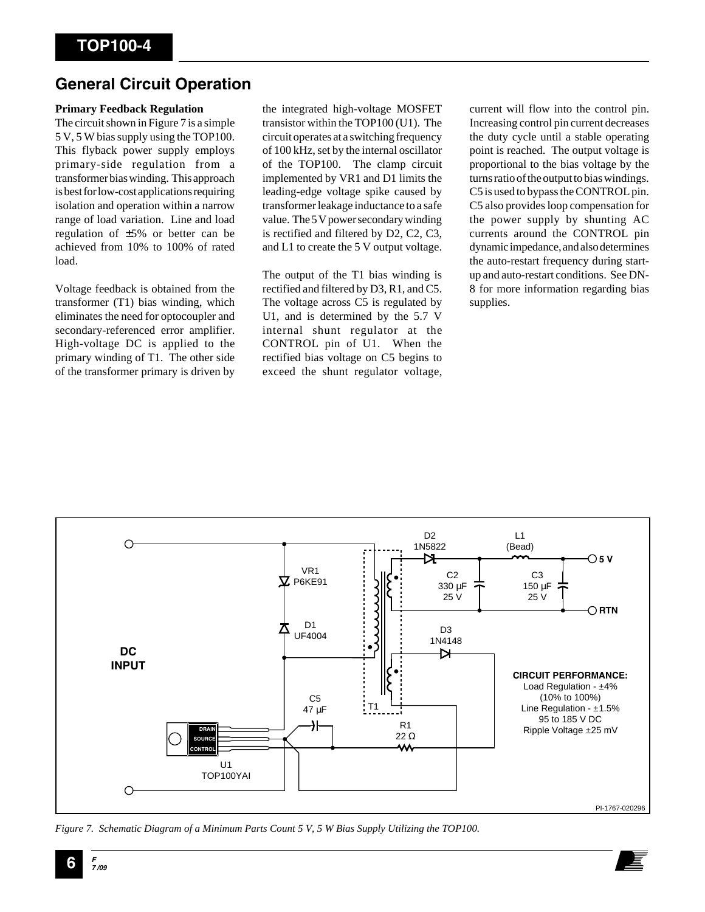### **General Circuit Operation**

### **Primary Feedback Regulation**

The circuit shown in Figure 7 is a simple 5 V, 5 W bias supply using the TOP100. This flyback power supply employs primary-side regulation from a transformer bias winding. This approach is best for low-cost applications requiring isolation and operation within a narrow range of load variation. Line and load regulation of ±5% or better can be achieved from 10% to 100% of rated load.

Voltage feedback is obtained from the transformer (T1) bias winding, which eliminates the need for optocoupler and secondary-referenced error amplifier. High-voltage DC is applied to the primary winding of T1. The other side of the transformer primary is driven by

the integrated high-voltage MOSFET transistor within the TOP100 (U1). The circuit operates at a switching frequency of 100 kHz, set by the internal oscillator of the TOP100. The clamp circuit implemented by VR1 and D1 limits the leading-edge voltage spike caused by transformer leakage inductance to a safe value. The 5 V power secondary winding is rectified and filtered by D2, C2, C3, and L1 to create the 5 V output voltage.

The output of the T1 bias winding is rectified and filtered by D3, R1, and C5. The voltage across C5 is regulated by U1, and is determined by the 5.7 V internal shunt regulator at the CONTROL pin of U1. When the rectified bias voltage on C5 begins to exceed the shunt regulator voltage, current will flow into the control pin. Increasing control pin current decreases the duty cycle until a stable operating point is reached. The output voltage is proportional to the bias voltage by the turns ratio of the output to bias windings. C5 is used to bypass the CONTROL pin. C5 also provides loop compensation for the power supply by shunting AC currents around the CONTROL pin dynamic impedance, and also determines the auto-restart frequency during startup and auto-restart conditions. See DN-8 for more information regarding bias supplies.



*Figure 7. Schematic Diagram of a Minimum Parts Count 5 V, 5 W Bias Supply Utilizing the TOP100.*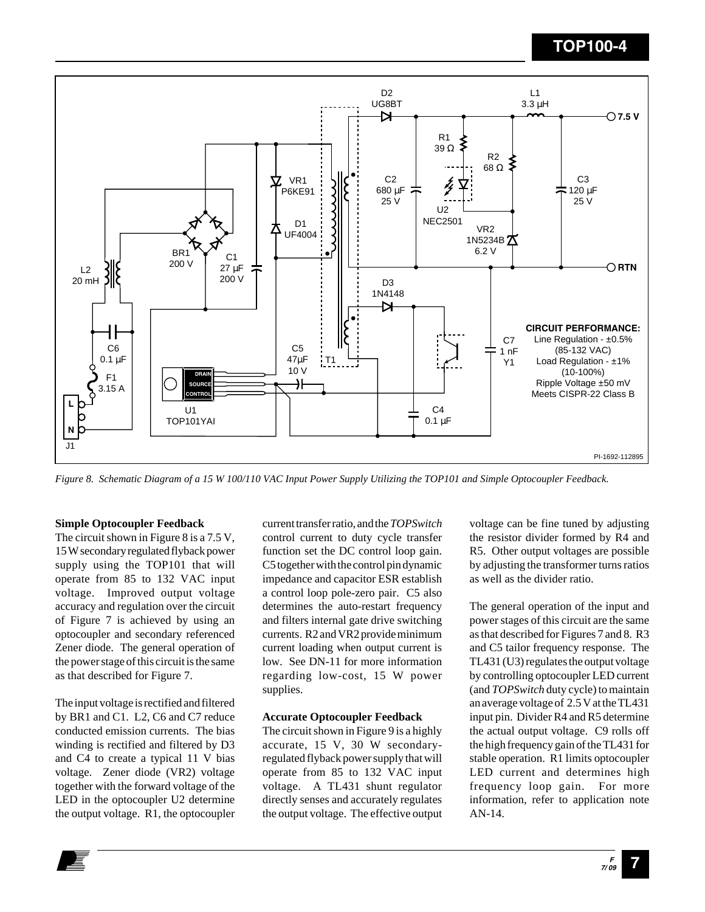

*Figure 8. Schematic Diagram of a 15 W 100/110 VAC Input Power Supply Utilizing the TOP101 and Simple Optocoupler Feedback.*

### **Simple Optocoupler Feedback**

The circuit shown in Figure 8 is a 7.5 V, 15 W secondary regulated flyback power supply using the TOP101 that will operate from 85 to 132 VAC input voltage. Improved output voltage accuracy and regulation over the circuit of Figure 7 is achieved by using an optocoupler and secondary referenced Zener diode. The general operation of the power stage of this circuit is the same as that described for Figure 7.

The input voltage is rectified and filtered by BR1 and C1. L2, C6 and C7 reduce conducted emission currents. The bias winding is rectified and filtered by D3 and C4 to create a typical 11 V bias voltage. Zener diode (VR2) voltage together with the forward voltage of the LED in the optocoupler U2 determine the output voltage. R1, the optocoupler

current transfer ratio, and the *TOPSwitch* control current to duty cycle transfer function set the DC control loop gain. C5 together with the control pin dynamic impedance and capacitor ESR establish a control loop pole-zero pair. C5 also determines the auto-restart frequency and filters internal gate drive switching currents. R2 and VR2 provide minimum current loading when output current is low. See DN-11 for more information regarding low-cost, 15 W power supplies.

#### **Accurate Optocoupler Feedback**

The circuit shown in Figure 9 is a highly accurate, 15 V, 30 W secondaryregulated flyback power supply that will operate from 85 to 132 VAC input voltage. A TL431 shunt regulator directly senses and accurately regulates the output voltage. The effective output voltage can be fine tuned by adjusting the resistor divider formed by R4 and R5. Other output voltages are possible by adjusting the transformer turns ratios as well as the divider ratio.

The general operation of the input and power stages of this circuit are the same as that described for Figures 7 and 8. R3 and C5 tailor frequency response. The TL431 (U3) regulates the output voltage by controlling optocoupler LED current (and *TOPSwitch* duty cycle) to maintain an average voltage of 2.5 V at the TL431 input pin. Divider R4 and R5 determine the actual output voltage. C9 rolls off the high frequency gain of the TL431 for stable operation. R1 limits optocoupler LED current and determines high frequency loop gain. For more information, refer to application note AN-14.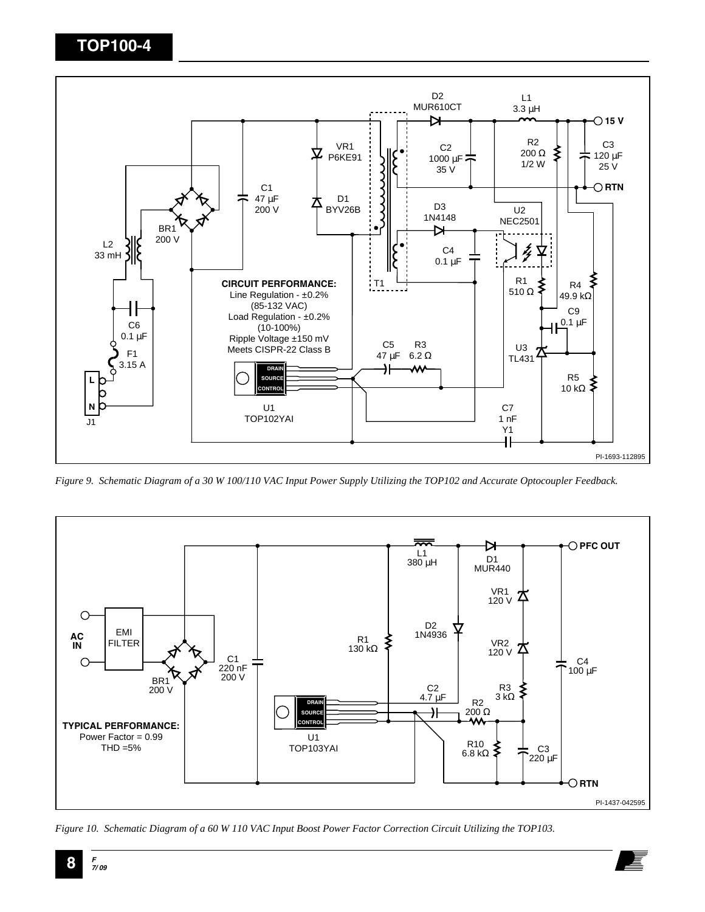

*Figure 9. Schematic Diagram of a 30 W 100/110 VAC Input Power Supply Utilizing the TOP102 and Accurate Optocoupler Feedback.*



*Figure 10. Schematic Diagram of a 60 W 110 VAC Input Boost Power Factor Correction Circuit Utilizing the TOP103.*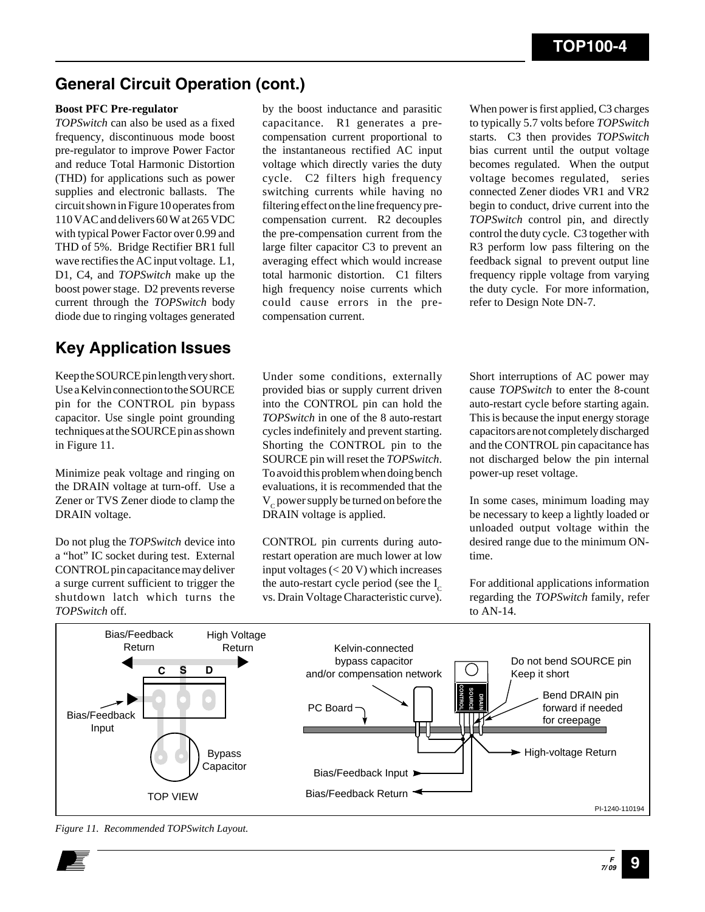### **General Circuit Operation (cont.)**

### **Boost PFC Pre-regulator**

*TOPSwitch* can also be used as a fixed frequency, discontinuous mode boost pre-regulator to improve Power Factor and reduce Total Harmonic Distortion (THD) for applications such as power supplies and electronic ballasts. The circuit shown in Figure 10 operates from 110 VAC and delivers 60 W at 265 VDC with typical Power Factor over 0.99 and THD of 5%. Bridge Rectifier BR1 full wave rectifies the AC input voltage. L1, D1, C4, and *TOPSwitch* make up the boost power stage. D2 prevents reverse current through the *TOPSwitch* body diode due to ringing voltages generated

### **Key Application Issues**

Keep the SOURCE pin length very short. Use a Kelvin connection to the SOURCE pin for the CONTROL pin bypass capacitor. Use single point grounding techniques at the SOURCE pin as shown in Figure 11.

Minimize peak voltage and ringing on the DRAIN voltage at turn-off. Use a Zener or TVS Zener diode to clamp the DRAIN voltage.

Do not plug the *TOPSwitch* device into a "hot" IC socket during test. External CONTROL pin capacitance may deliver a surge current sufficient to trigger the shutdown latch which turns the *TOPSwitch* off.

by the boost inductance and parasitic capacitance. R1 generates a precompensation current proportional to the instantaneous rectified AC input voltage which directly varies the duty cycle. C2 filters high frequency switching currents while having no filtering effect on the line frequency precompensation current. R2 decouples the pre-compensation current from the large filter capacitor C3 to prevent an averaging effect which would increase total harmonic distortion. C1 filters high frequency noise currents which could cause errors in the precompensation current.

When power is first applied, C3 charges to typically 5.7 volts before *TOPSwitch* starts. C3 then provides *TOPSwitch* bias current until the output voltage becomes regulated. When the output voltage becomes regulated, series connected Zener diodes VR1 and VR2 begin to conduct, drive current into the *TOPSwitch* control pin, and directly control the duty cycle. C3 together with R3 perform low pass filtering on the feedback signal to prevent output line frequency ripple voltage from varying the duty cycle. For more information, refer to Design Note DN-7.

Under some conditions, externally provided bias or supply current driven into the CONTROL pin can hold the *TOPSwitch* in one of the 8 auto-restart cycles indefinitely and prevent starting. Shorting the CONTROL pin to the SOURCE pin will reset the *TOPSwitch*. To avoid this problem when doing bench evaluations, it is recommended that the  $V_c$  power supply be turned on before the DRAIN voltage is applied.

CONTROL pin currents during autorestart operation are much lower at low input voltages (< 20 V) which increases the auto-restart cycle period (see the  $I_c$ vs. Drain Voltage Characteristic curve). Short interruptions of AC power may cause *TOPSwitch* to enter the 8-count auto-restart cycle before starting again. This is because the input energy storage capacitors are not completely discharged and the CONTROL pin capacitance has not discharged below the pin internal power-up reset voltage.

In some cases, minimum loading may be necessary to keep a lightly loaded or unloaded output voltage within the desired range due to the minimum ONtime.

For additional applications information regarding the *TOPSwitch* family, refer to AN-14.



*Figure 11. Recommended TOPSwitch Layout.*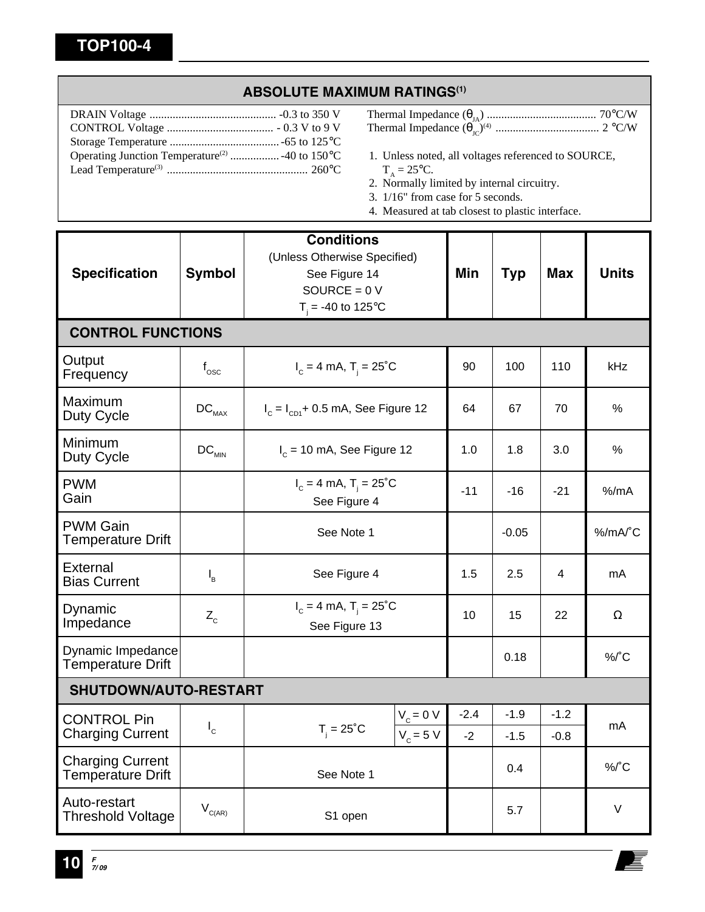### **ABSOLUTE MAXIMUM RATINGS(1)**

- Thermal Impedance (θJA) ...................................... 70°C/W Thermal Impedance (θJC)(4) .................................... 2 °C/W
- 1. Unless noted, all voltages referenced to SOURCE,  $T_A = 25$ °C.
- 2. Normally limited by internal circuitry.
- 3. 1/16" from case for 5 seconds.
- 4. Measured at tab closest to plastic interface.

| <b>Specification</b>                                | <b>Symbol</b>                          | <b>Conditions</b><br>(Unless Otherwise Specified)<br>See Figure 14<br>SOURCE = $0 V$<br>$T_i = -40$ to 125°C |                            | Min            | <b>Typ</b>       | <b>Max</b>       | <b>Units</b> |  |  |
|-----------------------------------------------------|----------------------------------------|--------------------------------------------------------------------------------------------------------------|----------------------------|----------------|------------------|------------------|--------------|--|--|
| <b>CONTROL FUNCTIONS</b>                            |                                        |                                                                                                              |                            |                |                  |                  |              |  |  |
| Output<br>Frequency                                 | $f_{\rm osc}$                          | $I_c = 4$ mA, $T_i = 25^{\circ}$ C                                                                           | 90                         | 100            | 110              | kHz              |              |  |  |
| Maximum<br>Duty Cycle                               | $\mathsf{DC}_{\mathsf{MAX}}$           | $I_c = I_{c} + 0.5$ mA, See Figure 12                                                                        | 64                         | 67             | 70               | %                |              |  |  |
| Minimum<br>Duty Cycle                               | $DC_{MIN}$                             | $I_c = 10$ mA, See Figure 12                                                                                 | 1.0                        | 1.8            | 3.0              | $\%$             |              |  |  |
| <b>PWM</b><br>Gain                                  |                                        | $I_c = 4$ mA, $T_i = 25^{\circ}$ C<br>See Figure 4                                                           | $-11$                      | $-16$          | $-21$            | $%$ /mA          |              |  |  |
| <b>PWM Gain</b><br><b>Temperature Drift</b>         |                                        | See Note 1                                                                                                   |                            | $-0.05$        |                  | %/mA/°C          |              |  |  |
| <b>External</b><br><b>Bias Current</b>              | $\mathsf{I}_{\mathsf{B}}$              | See Figure 4                                                                                                 |                            | 1.5            | 2.5              | 4                | mA           |  |  |
| Dynamic<br>Impedance                                | $Z_c$                                  | $I_c = 4$ mA, $T_i = 25^{\circ}$ C<br>See Figure 13                                                          | 10                         | 15             | 22               | Ω                |              |  |  |
| Dynamic Impedance<br><b>Temperature Drift</b>       |                                        |                                                                                                              |                            |                | 0.18             |                  | $\%$ /°C     |  |  |
| SHUTDOWN/AUTO-RESTART                               |                                        |                                                                                                              |                            |                |                  |                  |              |  |  |
| <b>CONTROL Pin</b><br><b>Charging Current</b>       | $I_c$                                  | $T_i = 25^{\circ}C$                                                                                          | $V_c = 0 V$<br>$V_c = 5 V$ | $-2.4$<br>$-2$ | $-1.9$<br>$-1.5$ | $-1.2$<br>$-0.8$ | mA           |  |  |
| <b>Charging Current</b><br><b>Temperature Drift</b> |                                        | See Note 1                                                                                                   |                            |                | 0.4              |                  | $\%$ /°C     |  |  |
| Auto-restart<br><b>Threshold Voltage</b>            | $\mathsf{V}_{\mathsf{C}(\mathsf{AR})}$ | S1 open                                                                                                      |                            |                | 5.7              |                  | $\vee$       |  |  |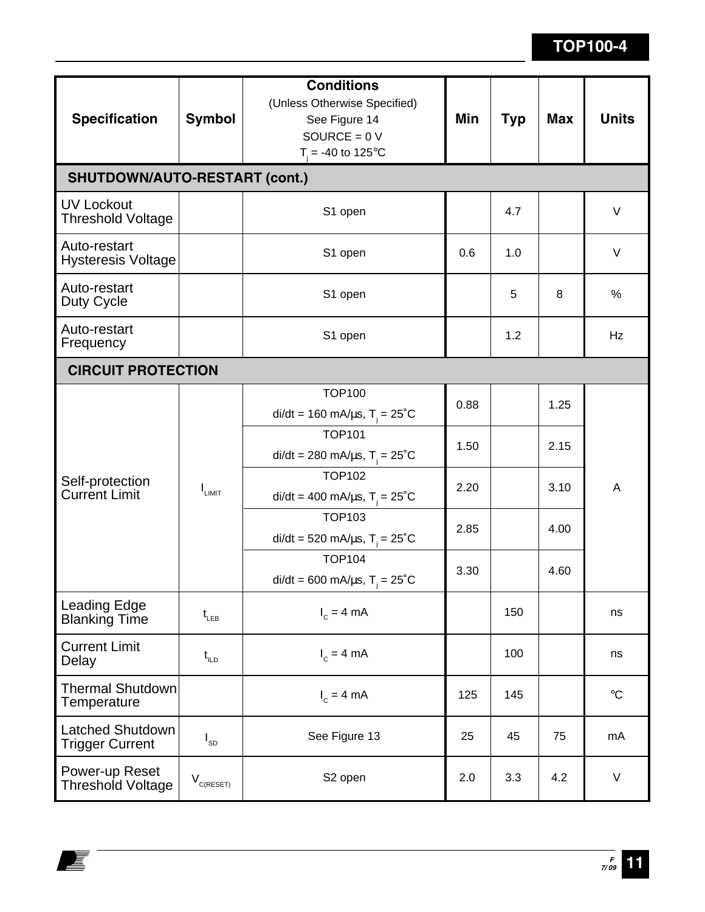| <b>Specification</b>                              | <b>Symbol</b>                               | <b>Conditions</b><br>(Unless Otherwise Specified)<br>See Figure 14<br>SOURCE = $0V$<br>$T_i = -40$ to 125°C | Min  | Typ | <b>Max</b>   | <b>Units</b>    |  |  |  |
|---------------------------------------------------|---------------------------------------------|-------------------------------------------------------------------------------------------------------------|------|-----|--------------|-----------------|--|--|--|
| <b>SHUTDOWN/AUTO-RESTART (cont.)</b>              |                                             |                                                                                                             |      |     |              |                 |  |  |  |
| <b>UV Lockout</b><br><b>Threshold Voltage</b>     |                                             | S1 open                                                                                                     | 4.7  |     |              | V               |  |  |  |
| Auto-restart<br><b>Hysteresis Voltage</b>         |                                             | S1 open                                                                                                     | 0.6  | 1.0 |              | $\vee$          |  |  |  |
| Auto-restart<br>Duty Cycle                        |                                             | S1 open                                                                                                     |      | 5   | 8            | %               |  |  |  |
| Auto-restart<br>Frequency                         |                                             | S1 open                                                                                                     |      | 1.2 |              | Hz              |  |  |  |
| <b>CIRCUIT PROTECTION</b>                         |                                             |                                                                                                             |      |     |              |                 |  |  |  |
| Self-protection<br><b>Current Limit</b>           |                                             | <b>TOP100</b><br>di/dt = 160 mA/ $\mu$ s, T <sub>i</sub> = 25 <sup>°</sup> C                                | 0.88 |     | 1.25         |                 |  |  |  |
|                                                   |                                             | <b>TOP101</b><br>di/dt = 280 mA/ $\mu$ s, T <sub>i</sub> = 25 <sup>°</sup> C                                | 1.50 |     | 2.15<br>3.10 |                 |  |  |  |
|                                                   | $I_{LIMIT}$                                 | <b>TOP102</b><br>di/dt = 400 mA/ $\mu$ s, T <sub>i</sub> = 25 <sup>°</sup> C                                | 2.20 |     |              | A               |  |  |  |
|                                                   |                                             | <b>TOP103</b><br>di/dt = 520 mA/ $\mu$ s, T <sub>i</sub> = 25 <sup>°</sup> C                                | 2.85 |     | 4.00         |                 |  |  |  |
|                                                   |                                             | <b>TOP104</b><br>di/dt = 600 mA/ $\mu$ s, T <sub>i</sub> = 25 <sup>°</sup> C                                | 3.30 |     | 4.60         |                 |  |  |  |
| <b>Leading Edge</b><br><b>Blanking Time</b>       | $t_{LEB}$                                   | $I_c = 4 mA$                                                                                                |      | 150 |              | ns              |  |  |  |
| <b>Current Limit</b><br>Delay                     | $t_{\text{\tiny{ILD}}}$                     | $I_c = 4 mA$                                                                                                |      | 100 |              | ns              |  |  |  |
| <b>Thermal Shutdown</b><br>Temperature            |                                             | $I_c = 4 mA$                                                                                                | 125  | 145 |              | $\rm ^{\circ}C$ |  |  |  |
| <b>Latched Shutdown</b><br><b>Trigger Current</b> | $I_{SD}$                                    | See Figure 13<br>25                                                                                         |      | 45  | 75           | mA              |  |  |  |
| Power-up Reset<br><b>Threshold Voltage</b>        | $\mathsf{V}_{_{\mathsf{C}(\mathsf{REST})}}$ | S2 open                                                                                                     | 2.0  | 3.3 | 4.2          | $\vee$          |  |  |  |

E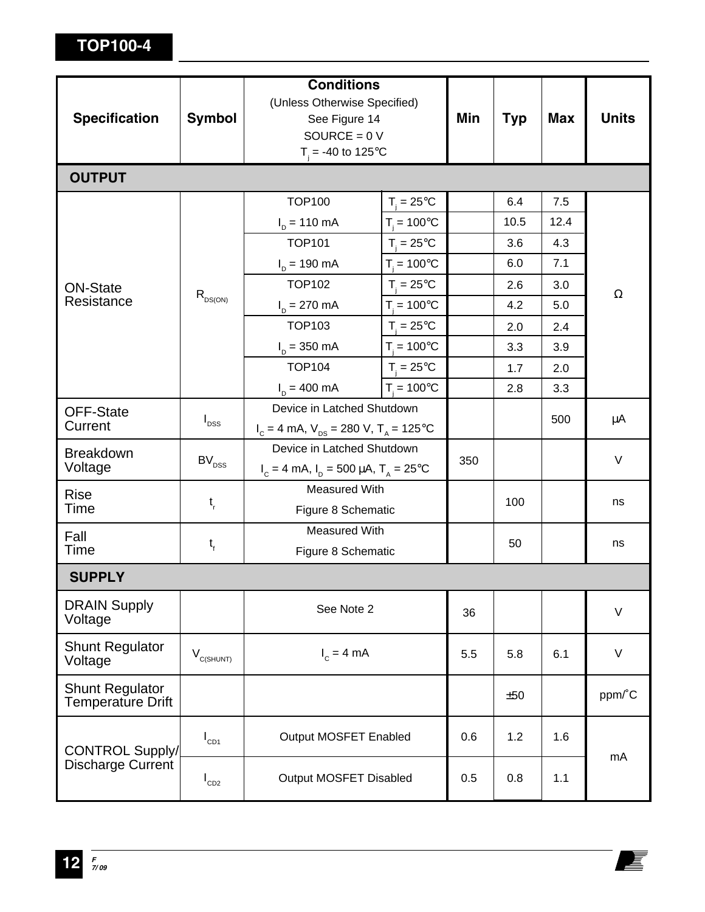|                                                    |                            | <b>Conditions</b>                                     |                      |     |            |            |              |  |
|----------------------------------------------------|----------------------------|-------------------------------------------------------|----------------------|-----|------------|------------|--------------|--|
|                                                    | <b>Symbol</b>              | (Unless Otherwise Specified)                          |                      |     |            |            |              |  |
| <b>Specification</b>                               |                            | See Figure 14                                         |                      | Min | <b>Typ</b> | <b>Max</b> | <b>Units</b> |  |
|                                                    |                            | SOURCE = $0 V$<br>$T_i = -40$ to 125°C                |                      |     |            |            |              |  |
| <b>OUTPUT</b>                                      |                            |                                                       |                      |     |            |            |              |  |
|                                                    |                            |                                                       |                      |     |            |            |              |  |
|                                                    |                            | <b>TOP100</b>                                         | $T_i = 25^{\circ}C$  |     | 6.4        | 7.5        |              |  |
|                                                    |                            | $I_{D} = 110 \text{ mA}$                              | $T_i = 100^{\circ}C$ |     | 10.5       | 12.4       |              |  |
|                                                    |                            | <b>TOP101</b>                                         | $T_i = 25^{\circ}C$  |     | 3.6        | 4.3        |              |  |
|                                                    |                            | $I_{D} = 190 \text{ mA}$                              | $T_i = 100^{\circ}C$ |     | 6.0        | 7.1        |              |  |
| <b>ON-State</b>                                    | $R_{DS(ON)}$               | <b>TOP102</b>                                         | $T_i = 25^{\circ}C$  |     | 2.6        | 3.0        | $\Omega$     |  |
| Resistance                                         |                            | $I_{D} = 270 \text{ mA}$                              | $T_i = 100^{\circ}C$ |     | 4.2        | 5.0        |              |  |
|                                                    |                            | <b>TOP103</b>                                         | $T_i = 25^{\circ}C$  |     | 2.0        | 2.4        |              |  |
|                                                    |                            | $I_{D} = 350 \text{ mA}$                              | $T_i = 100^{\circ}C$ |     | 3.3        | 3.9        |              |  |
|                                                    |                            | <b>TOP104</b>                                         | $T_i = 25^{\circ}C$  |     | 1.7        | 2.0        |              |  |
|                                                    |                            | $I_p = 400 \text{ mA}$                                | $T_i = 100^{\circ}C$ |     | 2.8        | 3.3        |              |  |
| <b>OFF-State</b>                                   | $I_{DSS}$                  | Device in Latched Shutdown                            |                      |     |            | 500        | μA           |  |
| Current                                            |                            | $I_c = 4$ mA, $V_{DS} = 280$ V, $T_A = 125$ °C        |                      |     |            |            |              |  |
| <b>Breakdown</b>                                   |                            | Device in Latched Shutdown                            |                      |     |            |            |              |  |
| Voltage                                            | $\mathsf{BV}_\mathsf{DSS}$ | $I_c = 4$ mA, $I_p = 500 \mu A$ , $T_A = 25^{\circ}C$ |                      | 350 |            |            | $\vee$       |  |
| <b>Rise</b>                                        |                            | <b>Measured With</b>                                  |                      |     |            |            |              |  |
| Time                                               | $t_{\rm r}$                | Figure 8 Schematic                                    |                      |     | 100        |            | ns           |  |
| Fall                                               |                            | <b>Measured With</b>                                  |                      |     | 50         |            | ns           |  |
| Time                                               | $t_{\rm f}$                | Figure 8 Schematic                                    |                      |     |            |            |              |  |
| <b>SUPPLY</b>                                      |                            |                                                       |                      |     |            |            |              |  |
| <b>DRAIN Supply</b><br>Voltage                     |                            | See Note 2                                            |                      | 36  |            |            | $\vee$       |  |
| <b>Shunt Regulator</b><br>Voltage                  | $V_{C(SHUNT)}$             | $I_c = 4$ mA                                          |                      | 5.5 | 5.8        | 6.1        | $\vee$       |  |
| <b>Shunt Regulator</b><br><b>Temperature Drift</b> |                            |                                                       |                      |     | ±50        |            | ppm/°C       |  |
| <b>CONTROL Supply/</b><br>Discharge Current        | $I_{CD1}$                  | Output MOSFET Enabled                                 |                      | 0.6 | 1.2        | 1.6        | mA           |  |
|                                                    | $I_{CD2}$                  | Output MOSFET Disabled                                |                      | 0.5 | 0.8        | 1.1        |              |  |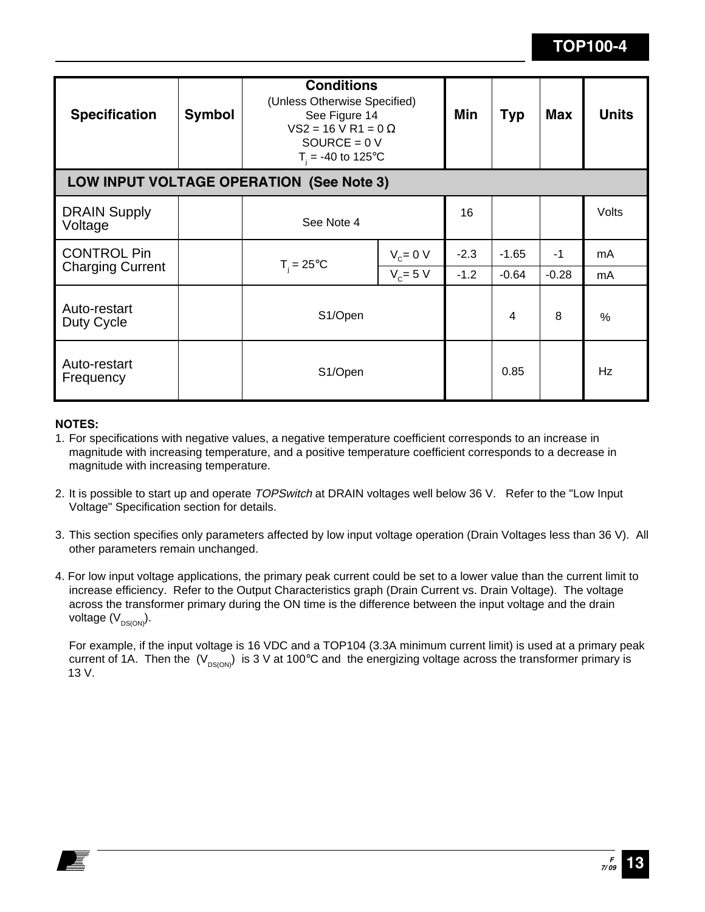| <b>Specification</b>                          | <b>Symbol</b> | <b>Conditions</b><br>(Unless Otherwise Specified)<br>See Figure 14<br>$VS2 = 16$ V R1 = 0 $\Omega$<br>SOURCE = $0 V$<br>$T_{\text{H}} = -40$ to 125°C |        | Min            | <b>Typ</b> | <b>Max</b>    | <b>Units</b> |  |
|-----------------------------------------------|---------------|-------------------------------------------------------------------------------------------------------------------------------------------------------|--------|----------------|------------|---------------|--------------|--|
| LOW INPUT VOLTAGE OPERATION (See Note 3)      |               |                                                                                                                                                       |        |                |            |               |              |  |
| <b>DRAIN Supply</b><br>Voltage                |               | See Note 4                                                                                                                                            |        | 16             |            |               | Volts        |  |
| <b>CONTROL Pin</b><br><b>Charging Current</b> |               | $V_c = 0 V$<br>$T_i = 25^{\circ}C$<br>$V_c = 5 V$                                                                                                     | $-2.3$ | $-1.65$        | $-1$       | mA            |              |  |
|                                               |               |                                                                                                                                                       |        | $-1.2$         | $-0.64$    | $-0.28$       | mA           |  |
| Auto-restart<br>Duty Cycle                    |               | S1/Open                                                                                                                                               |        | $\overline{4}$ | 8          | $\frac{0}{0}$ |              |  |
| Auto-restart<br>Frequency                     |               | S1/Open                                                                                                                                               |        |                | 0.85       |               | Hz           |  |

### **NOTES:**

- 1. For specifications with negative values, a negative temperature coefficient corresponds to an increase in magnitude with increasing temperature, and a positive temperature coefficient corresponds to a decrease in magnitude with increasing temperature.
- 2. It is possible to start up and operate TOPSwitch at DRAIN voltages well below 36 V. Refer to the "Low Input Voltage" Specification section for details.
- 3. This section specifies only parameters affected by low input voltage operation (Drain Voltages less than 36 V). All other parameters remain unchanged.
- 4. For low input voltage applications, the primary peak current could be set to a lower value than the current limit to increase efficiency. Refer to the Output Characteristics graph (Drain Current vs. Drain Voltage). The voltage across the transformer primary during the ON time is the difference between the input voltage and the drain voltage  $(V_{DS(ON)})$ .

For example, if the input voltage is 16 VDC and a TOP104 (3.3A minimum current limit) is used at a primary peak current of 1A. Then the  $(V_{DS(ON)})$  is 3 V at 100°C and the energizing voltage across the transformer primary is 13 V.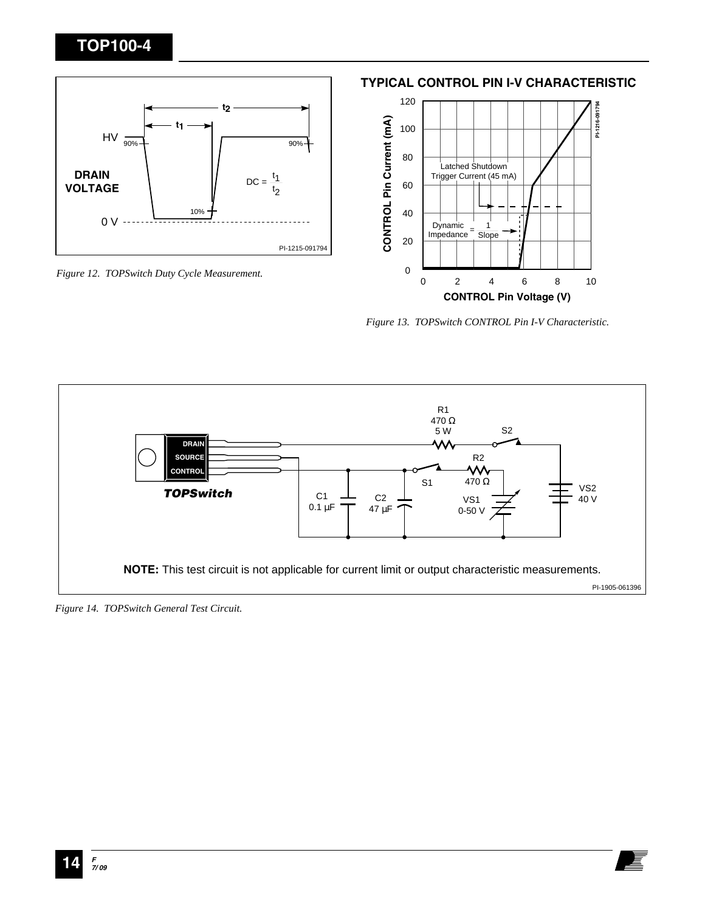

*Figure 12. TOPSwitch Duty Cycle Measurement.*

120 **PI-1216-091794** PI-1216-091794 CONTROL Pin Current (mA) **CONTROL Pin Current (mA)** 100 80 Latched Shutdown Trigger Current (45 mA) 60 40 Dynamic 1 Impedance <sup>=</sup> **Slope** 20 0 0 2 4 6 8 10 **CONTROL Pin Voltage (V)**

**TYPICAL CONTROL PIN I-V CHARACTERISTIC**

*Figure 13. TOPSwitch CONTROL Pin I-V Characteristic.*



*Figure 14. TOPSwitch General Test Circuit.*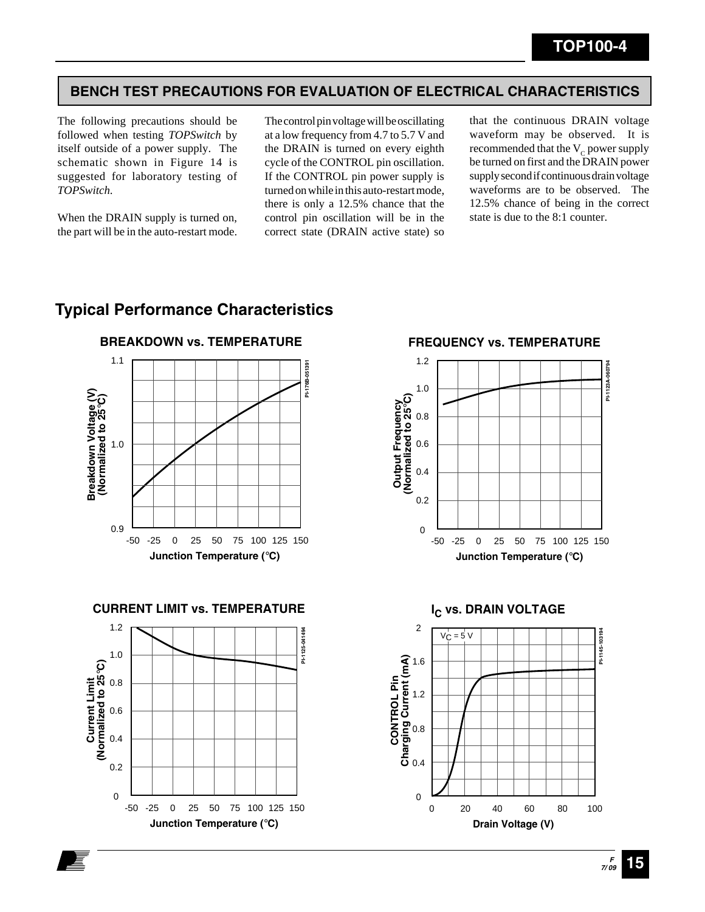### **BENCH TEST PRECAUTIONS FOR EVALUATION OF ELECTRICAL CHARACTERISTICS**

The following precautions should be followed when testing *TOPSwitch* by itself outside of a power supply. The schematic shown in Figure 14 is suggested for laboratory testing of *TOPSwitch*.

When the DRAIN supply is turned on, the part will be in the auto-restart mode.

The control pin voltage will be oscillating at a low frequency from 4.7 to 5.7 V and the DRAIN is turned on every eighth cycle of the CONTROL pin oscillation. If the CONTROL pin power supply is turned on while in this auto-restart mode, there is only a 12.5% chance that the control pin oscillation will be in the correct state (DRAIN active state) so that the continuous DRAIN voltage waveform may be observed. It is recommended that the  $V_c$  power supply be turned on first and the DRAIN power supply second if continuous drain voltage waveforms are to be observed. The 12.5% chance of being in the correct state is due to the 8:1 counter.

### **Typical Performance Characteristics**



**CURRENT LIMIT vs. TEMPERATURE**



**FREQUENCY vs. TEMPERATURE**



**I<sub>C</sub> vs. DRAIN VOLTAGE** 

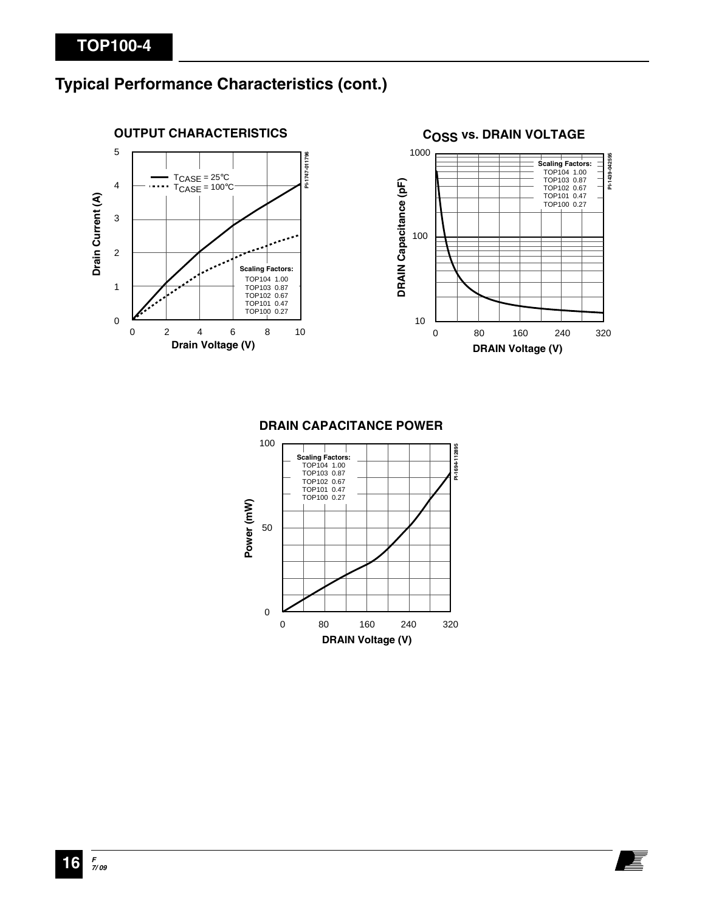# **Typical Performance Characteristics (cont.)**



### **COSS vs. DRAIN VOLTAGE**



# **DRAIN CAPACITANCE POWER**

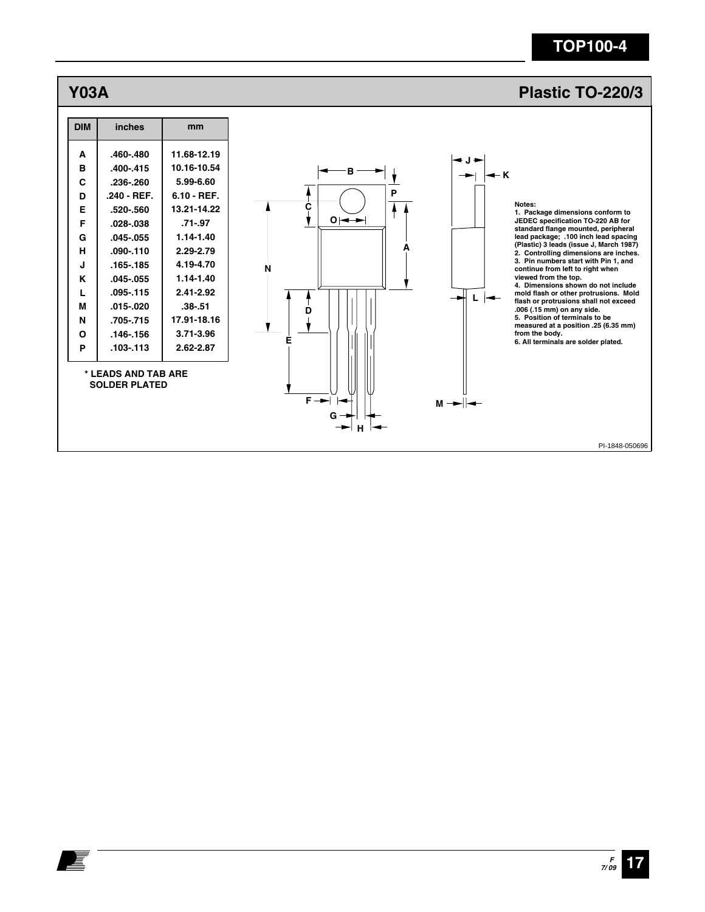

复